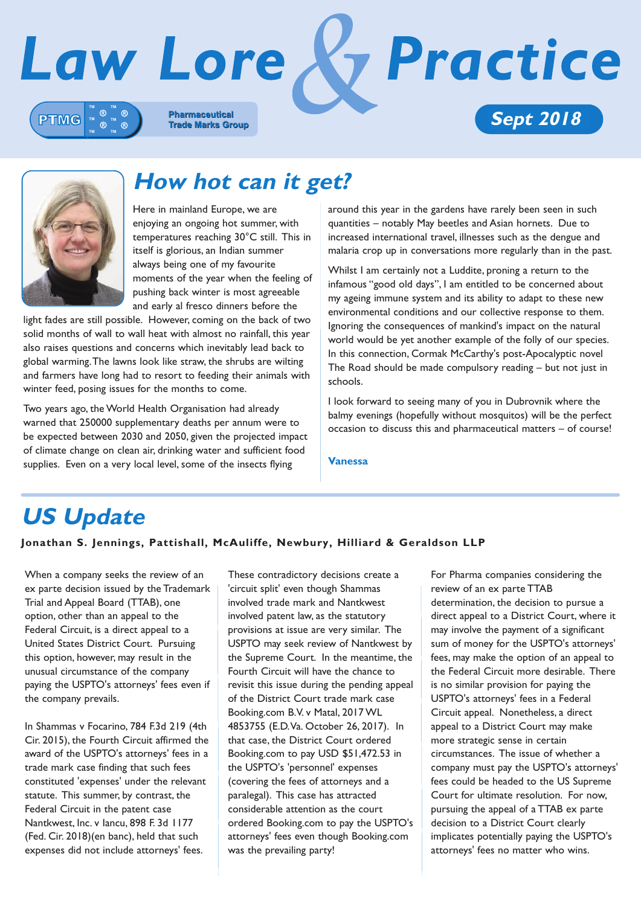



# **How hot can it get?**

Here in mainland Europe, we are enjoying an ongoing hot summer, with temperatures reaching 30°C still. This in itself is glorious, an Indian summer always being one of my favourite moments of the year when the feeling of pushing back winter is most agreeable and early al fresco dinners before the

light fades are still possible. However, coming on the back of two solid months of wall to wall heat with almost no rainfall, this year also raises questions and concerns which inevitably lead back to global warming. The lawns look like straw, the shrubs are wilting and farmers have long had to resort to feeding their animals with winter feed, posing issues for the months to come.

Two years ago, the World Health Organisation had already warned that 250000 supplementary deaths per annum were to be expected between 2030 and 2050, given the projected impact of climate change on clean air, drinking water and sufficient food supplies. Even on a very local level, some of the insects flying

around this year in the gardens have rarely been seen in such quantities – notably May beetles and Asian hornets. Due to increased international travel, illnesses such as the dengue and malaria crop up in conversations more regularly than in the past.

Whilst I am certainly not a Luddite, proning a return to the infamous "good old days", I am entitled to be concerned about my ageing immune system and its ability to adapt to these new environmental conditions and our collective response to them. Ignoring the consequences of mankind's impact on the natural world would be yet another example of the folly of our species. In this connection, Cormak McCarthy's post-Apocalyptic novel The Road should be made compulsory reading – but not just in schools.

I look forward to seeing many of you in Dubrovnik where the balmy evenings (hopefully without mosquitos) will be the perfect occasion to discuss this and pharmaceutical matters – of course!

**Vanessa**

# **US Update**

### **Jonathan S. Jennings, Pattishall, McAuliffe, Newbury, Hilliard & Geraldson LLP**

When a company seeks the review of an ex parte decision issued by the Trademark Trial and Appeal Board (TTAB), one option, other than an appeal to the Federal Circuit, is a direct appeal to a United States District Court. Pursuing this option, however, may result in the unusual circumstance of the company paying the USPTO's attorneys' fees even if the company prevails.

In Shammas v Focarino, 784 F.3d 219 (4th Cir. 2015), the Fourth Circuit affirmed the award of the USPTO's attorneys' fees in a trade mark case finding that such fees constituted 'expenses' under the relevant statute. This summer, by contrast, the Federal Circuit in the patent case Nantkwest, Inc. v Iancu, 898 F. 3d 1177 (Fed. Cir. 2018)(en banc), held that such expenses did not include attorneys' fees.

These contradictory decisions create a 'circuit split' even though Shammas involved trade mark and Nantkwest involved patent law, as the statutory provisions at issue are very similar. The USPTO may seek review of Nantkwest by the Supreme Court. In the meantime, the Fourth Circuit will have the chance to revisit this issue during the pending appeal of the District Court trade mark case Booking.com B.V. v Matal, 2017 WL 4853755 (E.D. Va. October 26, 2017). In that case, the District Court ordered Booking.com to pay USD \$51,472.53 in the USPTO's 'personnel' expenses (covering the fees of attorneys and a paralegal). This case has attracted considerable attention as the court ordered Booking.com to pay the USPTO's attorneys' fees even though Booking.com was the prevailing party!

For Pharma companies considering the review of an ex parte TTAB determination, the decision to pursue a direct appeal to a District Court, where it may involve the payment of a significant sum of money for the USPTO's attorneys' fees, may make the option of an appeal to the Federal Circuit more desirable. There is no similar provision for paying the USPTO's attorneys' fees in a Federal Circuit appeal. Nonetheless, a direct appeal to a District Court may make more strategic sense in certain circumstances. The issue of whether a company must pay the USPTO's attorneys' fees could be headed to the US Supreme Court for ultimate resolution. For now, pursuing the appeal of a TTAB ex parte decision to a District Court clearly implicates potentially paying the USPTO's attorneys' fees no matter who wins.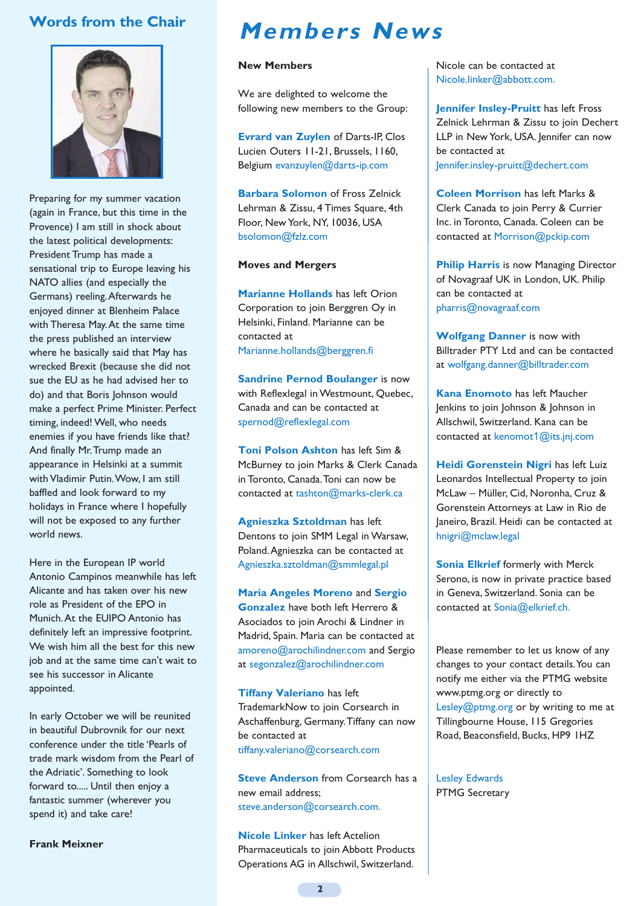# **Words from the Chair**



Preparing for my summer vacation (again in France, but this time in the Provence) I am still in shock about the latest political developments: President Trump has made a sensational trip to Europe leaving his NATO allies (and especially the Germans) reeling. Afterwards he enjoyed dinner at Blenheim Palace with Theresa May. At the same time the press published an interview where he basically said that May has wrecked Brexit (because she did not sue the EU as he had advised her to do) and that Boris Johnson would make a perfect Prime Minister. Perfect timing, indeed! Well, who needs enemies if you have friends like that? And finally Mr. Trump made an appearance in Helsinki at a summit with Vladimir Putin. Wow, I am still baffled and look forward to my holidays in France where I hopefully will not be exposed to any further world news.

Here in the European IP world Antonio Campinos meanwhile has left Alicante and has taken over his new role as President of the EPO in Munich. At the EUIPO Antonio has definitely left an impressive footprint. We wish him all the best for this new iob and at the same time can't wait to see his successor in Alicante appointed.

In early October we will be reunited in beautiful Dubrovnik for our next conference under the title 'Pearls of trade mark wisdom from the Pearl of the Adriatic'. Something to look forward to..... Until then enjoy a fantastic summer (wherever you spend it) and take care!

**Frank Meixner**

# **Members News**

#### **New Members**

We are delighted to welcome the following new members to the Group:

**Evrard van Zuylen** of Darts-IP, Clos Lucien Outers 11-21, Brussels, 1160, Belgium evanzuylen@darts-ip.com

**Barbara Solomon** of Fross Zelnick Lehrman & Zissu, 4 Times Square, 4th Floor, New York, NY, 10036, USA bsolomon@fzlz.com

#### **Moves and Mergers**

**Marianne Hollands** has left Orion Corporation to join Berggren Oy in Helsinki, Finland. Marianne can be contacted at Marianne.hollands@berggren.fi

**Sandrine Pernod Boulanger** is now with Reflexlegal in Westmount, Quebec, Canada and can be contacted at spernod@reflexlegal.com

**Toni Polson Ashton** has left Sim & McBurney to join Marks & Clerk Canada in Toronto, Canada. Toni can now be contacted at tashton@marks-clerk.ca

**Agnieszka Sztoldman** has left Dentons to join SMM Legal in Warsaw, Poland. Agnieszka can be contacted at Agnieszka.sztoldman@smmlegal.pl

**Maria Angeles Moreno** and **Sergio Gonzalez** have both left Herrero & Asociados to join Arochi & Lindner in Madrid, Spain. Maria can be contacted at amoreno@arochilindner.com and Sergio at segonzalez@arochilindner.com

**Tiffany Valeriano** has left TrademarkNow to join Corsearch in Aschaffenburg, Germany. Tiffany can now be contacted at tiffany.valeriano@corsearch.com

**Steve Anderson** from Corsearch has a new email address; steve.anderson@corsearch.com.

**Nicole Linker** has left Actelion Pharmaceuticals to join Abbott Products Operations AG in Allschwil, Switzerland.

Nicole can be contacted at Nicole.linker@abbott.com.

**Jennifer Insley-Pruitt** has left Fross Zelnick Lehrman & Zissu to join Dechert LLP in New York, USA. Jennifer can now be contacted at Jennifer.insley-pruitt@dechert.com

**Coleen Morrison** has left Marks & Clerk Canada to join Perry & Currier Inc. in Toronto, Canada. Coleen can be contacted at Morrison@pckip.com

**Philip Harris** is now Managing Director of Novagraaf UK in London, UK. Philip can be contacted at pharris@novagraaf.com

**Wolfgang Danner** is now with Billtrader PTY Ltd and can be contacted at wolfgang.danner@billtrader.com

**Kana Enomoto** has left Maucher Jenkins to join Johnson & Johnson in Allschwil, Switzerland. Kana can be contacted at kenomot1@its.jnj.com

**Heidi Gorenstein Nigri has left Luiz** Leonardos Intellectual Property to join McLaw – Müller, Cid, Noronha, Cruz & Gorenstein Attorneys at Law in Rio de Janeiro, Brazil. Heidi can be contacted at hnigri@mclaw.legal

**Sonia Elkrief formerly with Merck** Serono, is now in private practice based in Geneva, Switzerland. Sonia can be contacted at Sonia@elkrief.ch.

Please remember to let us know of any changes to your contact details. You can notify me either via the PTMG website www.ptmg.org or directly to Lesley@ptmg.org or by writing to me at Tillingbourne House, 115 Gregories Road, Beaconsfield, Bucks, HP9 1HZ

Lesley Edwards PTMG Secretary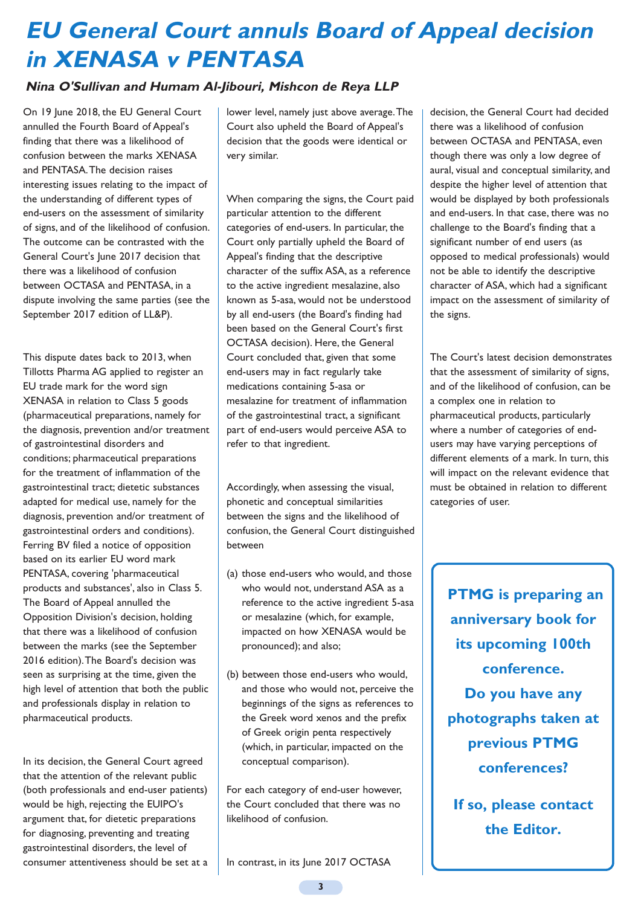# **EU General Court annuls Board of Appeal decision in XENASA v PENTASA**

# **Nina O'Sullivan and Humam Al-Jibouri, Mishcon de Reya LLP**

On 19 June 2018, the EU General Court annulled the Fourth Board of Appeal's finding that there was a likelihood of confusion between the marks XENASA and PENTASA. The decision raises interesting issues relating to the impact of the understanding of different types of end-users on the assessment of similarity of signs, and of the likelihood of confusion. The outcome can be contrasted with the General Court's June 2017 decision that there was a likelihood of confusion between OCTASA and PENTASA, in a dispute involving the same parties (see the September 2017 edition of LL&P).

This dispute dates back to 2013, when Tillotts Pharma AG applied to register an EU trade mark for the word sign XENASA in relation to Class 5 goods (pharmaceutical preparations, namely for the diagnosis, prevention and/or treatment of gastrointestinal disorders and conditions; pharmaceutical preparations for the treatment of inflammation of the gastrointestinal tract; dietetic substances adapted for medical use, namely for the diagnosis, prevention and/or treatment of gastrointestinal orders and conditions). Ferring BV filed a notice of opposition based on its earlier EU word mark PENTASA, covering 'pharmaceutical products and substances', also in Class 5. The Board of Appeal annulled the Opposition Division's decision, holding that there was a likelihood of confusion between the marks (see the September 2016 edition). The Board's decision was seen as surprising at the time, given the high level of attention that both the public and professionals display in relation to pharmaceutical products.

In its decision, the General Court agreed that the attention of the relevant public (both professionals and end-user patients) would be high, rejecting the EUIPO's argument that, for dietetic preparations for diagnosing, preventing and treating gastrointestinal disorders, the level of consumer attentiveness should be set at a

lower level, namely just above average. The Court also upheld the Board of Appeal's decision that the goods were identical or very similar.

When comparing the signs, the Court paid particular attention to the different categories of end-users. In particular, the Court only partially upheld the Board of Appeal's finding that the descriptive character of the suffix ASA, as a reference to the active ingredient mesalazine, also known as 5-asa, would not be understood by all end-users (the Board's finding had been based on the General Court's first OCTASA decision). Here, the General Court concluded that, given that some end-users may in fact regularly take medications containing 5-asa or mesalazine for treatment of inflammation of the gastrointestinal tract, a significant part of end-users would perceive ASA to refer to that ingredient.

Accordingly, when assessing the visual, phonetic and conceptual similarities between the signs and the likelihood of confusion, the General Court distinguished between

- (a) those end-users who would, and those who would not, understand ASA as a reference to the active ingredient 5-asa or mesalazine (which, for example, impacted on how XENASA would be pronounced); and also;
- (b) between those end-users who would, and those who would not, perceive the beginnings of the signs as references to the Greek word xenos and the prefix of Greek origin penta respectively (which, in particular, impacted on the conceptual comparison).

For each category of end-user however, the Court concluded that there was no likelihood of confusion.

In contrast, in its June 2017 OCTASA

decision, the General Court had decided there was a likelihood of confusion between OCTASA and PENTASA, even though there was only a low degree of aural, visual and conceptual similarity, and despite the higher level of attention that would be displayed by both professionals and end-users. In that case, there was no challenge to the Board's finding that a significant number of end users (as opposed to medical professionals) would not be able to identify the descriptive character of ASA, which had a significant impact on the assessment of similarity of the signs.

The Court's latest decision demonstrates that the assessment of similarity of signs, and of the likelihood of confusion, can be a complex one in relation to pharmaceutical products, particularly where a number of categories of endusers may have varying perceptions of different elements of a mark. In turn, this will impact on the relevant evidence that must be obtained in relation to different categories of user.

**PTMG is preparing an anniversary book for its upcoming 100th conference. Do you have any photographs taken at previous PTMG conferences?** 

**If so, please contact the Editor.**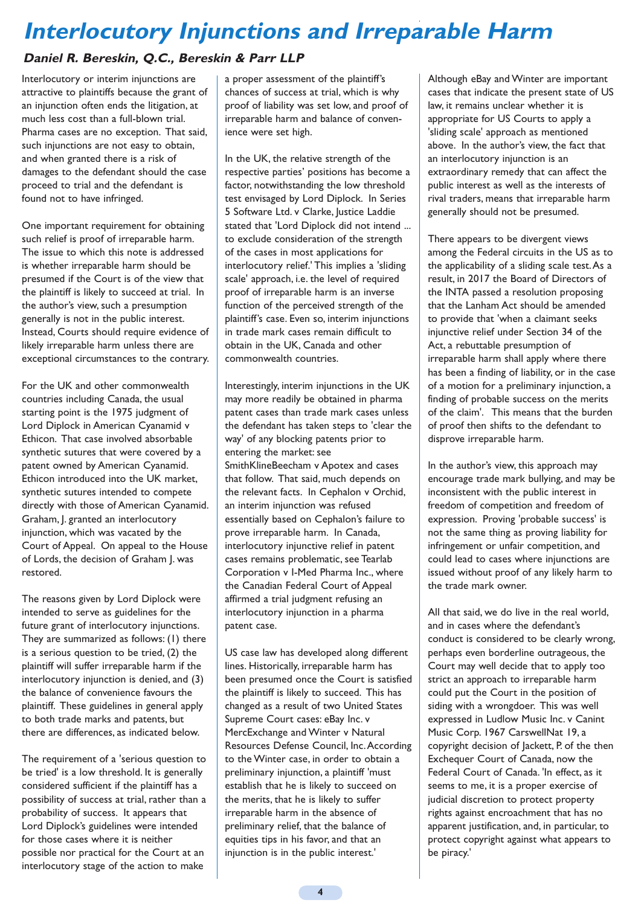# **Interlocutory Injunctions and Irreparable Harm**

# **Daniel R. Bereskin, Q.C., Bereskin & Parr LLP**

Interlocutory or interim injunctions are attractive to plaintiffs because the grant of an injunction often ends the litigation, at much less cost than a full-blown trial. Pharma cases are no exception. That said, such injunctions are not easy to obtain, and when granted there is a risk of damages to the defendant should the case proceed to trial and the defendant is found not to have infringed.

One important requirement for obtaining such relief is proof of irreparable harm. The issue to which this note is addressed is whether irreparable harm should be presumed if the Court is of the view that the plaintiff is likely to succeed at trial. In the author's view, such a presumption generally is not in the public interest. Instead, Courts should require evidence of likely irreparable harm unless there are exceptional circumstances to the contrary.

For the UK and other commonwealth countries including Canada, the usual starting point is the 1975 judgment of Lord Diplock in American Cyanamid v Ethicon. That case involved absorbable synthetic sutures that were covered by a patent owned by American Cyanamid. Ethicon introduced into the UK market, synthetic sutures intended to compete directly with those of American Cyanamid. Graham, J. granted an interlocutory injunction, which was vacated by the Court of Appeal. On appeal to the House of Lords, the decision of Graham J. was restored.

The reasons given by Lord Diplock were intended to serve as guidelines for the future grant of interlocutory injunctions. They are summarized as follows: (1) there is a serious question to be tried, (2) the plaintiff will suffer irreparable harm if the interlocutory injunction is denied, and (3) the balance of convenience favours the plaintiff. These guidelines in general apply to both trade marks and patents, but there are differences, as indicated below.

The requirement of a 'serious question to be tried' is a low threshold. It is generally considered sufficient if the plaintiff has a possibility of success at trial, rather than a probability of success. It appears that Lord Diplock's guidelines were intended for those cases where it is neither possible nor practical for the Court at an interlocutory stage of the action to make

a proper assessment of the plaintiff's chances of success at trial, which is why proof of liability was set low, and proof of irreparable harm and balance of convenience were set high.

In the UK, the relative strength of the respective parties' positions has become a factor, notwithstanding the low threshold test envisaged by Lord Diplock. In Series 5 Software Ltd. v Clarke, Justice Laddie stated that 'Lord Diplock did not intend ... to exclude consideration of the strength of the cases in most applications for interlocutory relief.' This implies a 'sliding scale' approach, i.e. the level of required proof of irreparable harm is an inverse function of the perceived strength of the plaintiff's case. Even so, interim injunctions in trade mark cases remain difficult to obtain in the UK, Canada and other commonwealth countries.

Interestingly, interim injunctions in the UK may more readily be obtained in pharma patent cases than trade mark cases unless the defendant has taken steps to 'clear the way' of any blocking patents prior to entering the market: see SmithKlineBeecham v Apotex and cases that follow. That said, much depends on the relevant facts. In Cephalon v Orchid, an interim injunction was refused essentially based on Cephalon's failure to prove irreparable harm. In Canada, interlocutory injunctive relief in patent cases remains problematic, see Tearlab Corporation v I-Med Pharma Inc., where the Canadian Federal Court of Appeal affirmed a trial judgment refusing an interlocutory injunction in a pharma patent case.

US case law has developed along different lines. Historically, irreparable harm has been presumed once the Court is satisfied the plaintiff is likely to succeed. This has changed as a result of two United States Supreme Court cases: eBay Inc. v MercExchange and Winter v Natural Resources Defense Council, Inc. According to the Winter case, in order to obtain a preliminary injunction, a plaintiff 'must establish that he is likely to succeed on the merits, that he is likely to suffer irreparable harm in the absence of preliminary relief, that the balance of equities tips in his favor, and that an injunction is in the public interest.'

Although eBay and Winter are important cases that indicate the present state of US law, it remains unclear whether it is appropriate for US Courts to apply a 'sliding scale' approach as mentioned above. In the author's view, the fact that an interlocutory injunction is an extraordinary remedy that can affect the public interest as well as the interests of rival traders, means that irreparable harm generally should not be presumed.

There appears to be divergent views among the Federal circuits in the US as to the applicability of a sliding scale test. As a result, in 2017 the Board of Directors of the INTA passed a resolution proposing that the Lanham Act should be amended to provide that 'when a claimant seeks injunctive relief under Section 34 of the Act, a rebuttable presumption of irreparable harm shall apply where there has been a finding of liability, or in the case of a motion for a preliminary injunction, a finding of probable success on the merits of the claim'. This means that the burden of proof then shifts to the defendant to disprove irreparable harm.

In the author's view, this approach may encourage trade mark bullying, and may be inconsistent with the public interest in freedom of competition and freedom of expression. Proving 'probable success' is not the same thing as proving liability for infringement or unfair competition, and could lead to cases where injunctions are issued without proof of any likely harm to the trade mark owner.

All that said, we do live in the real world, and in cases where the defendant's conduct is considered to be clearly wrong, perhaps even borderline outrageous, the Court may well decide that to apply too strict an approach to irreparable harm could put the Court in the position of siding with a wrongdoer. This was well expressed in Ludlow Music Inc. v Canint Music Corp. 1967 CarswellNat 19, a copyright decision of Jackett, P. of the then Exchequer Court of Canada, now the Federal Court of Canada. 'In effect, as it seems to me, it is a proper exercise of judicial discretion to protect property rights against encroachment that has no apparent justification, and, in particular, to protect copyright against what appears to be piracy.'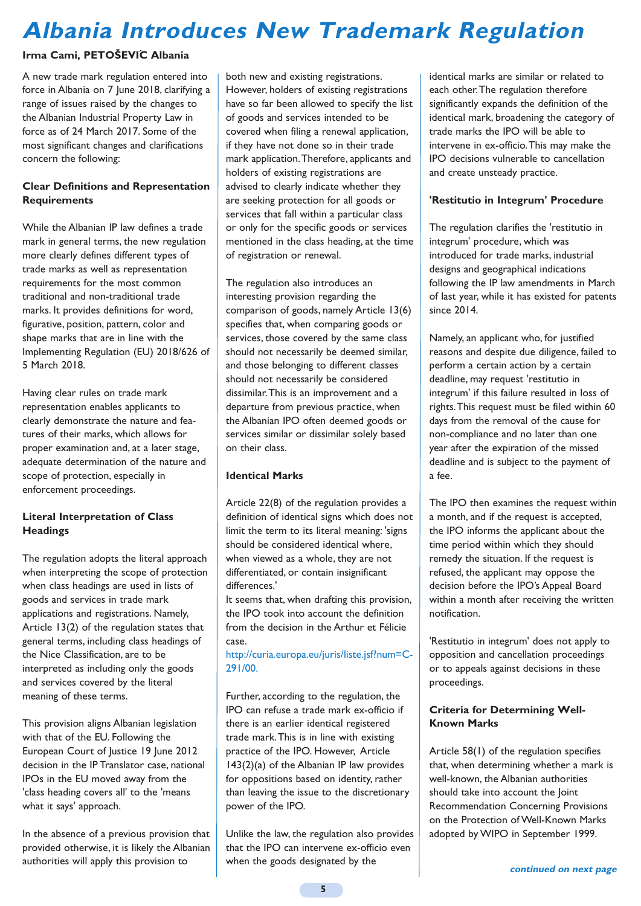# **Albania Introduces New Trademark Regulation**

### **Irma Cami, PETOŠEVIC Albania ´**

A new trade mark regulation entered into force in Albania on 7 June 2018, clarifying a range of issues raised by the changes to the Albanian Industrial Property Law in force as of 24 March 2017. Some of the most significant changes and clarifications concern the following:

#### **Clear Definitions and Representation Requirements**

While the Albanian IP law defines a trade mark in general terms, the new regulation more clearly defines different types of trade marks as well as representation requirements for the most common traditional and non-traditional trade marks. It provides definitions for word, figurative, position, pattern, color and shape marks that are in line with the Implementing Regulation (EU) 2018/626 of 5 March 2018.

Having clear rules on trade mark representation enables applicants to clearly demonstrate the nature and features of their marks, which allows for proper examination and, at a later stage, adequate determination of the nature and scope of protection, especially in enforcement proceedings.

#### **Literal Interpretation of Class Headings**

The regulation adopts the literal approach when interpreting the scope of protection when class headings are used in lists of goods and services in trade mark applications and registrations. Namely, Article 13(2) of the regulation states that general terms, including class headings of the Nice Classification, are to be interpreted as including only the goods and services covered by the literal meaning of these terms.

This provision aligns Albanian legislation with that of the EU. Following the European Court of Justice 19 June 2012 decision in the IP Translator case, national IPOs in the EU moved away from the 'class heading covers all' to the 'means what it says' approach.

In the absence of a previous provision that provided otherwise, it is likely the Albanian authorities will apply this provision to

both new and existing registrations. However, holders of existing registrations have so far been allowed to specify the list of goods and services intended to be covered when filing a renewal application, if they have not done so in their trade mark application. Therefore, applicants and holders of existing registrations are advised to clearly indicate whether they are seeking protection for all goods or services that fall within a particular class or only for the specific goods or services mentioned in the class heading, at the time of registration or renewal.

The regulation also introduces an interesting provision regarding the comparison of goods, namely Article 13(6) specifies that, when comparing goods or services, those covered by the same class should not necessarily be deemed similar, and those belonging to different classes should not necessarily be considered dissimilar. This is an improvement and a departure from previous practice, when the Albanian IPO often deemed goods or services similar or dissimilar solely based on their class.

#### **Identical Marks**

Article 22(8) of the regulation provides a definition of identical signs which does not limit the term to its literal meaning: 'signs should be considered identical where, when viewed as a whole, they are not differentiated, or contain insignificant differences.'

It seems that, when drafting this provision, the IPO took into account the definition from the decision in the Arthur et Félicie case.

http://curia.europa.eu/juris/liste.jsf?num=C-291/00.

Further, according to the regulation, the IPO can refuse a trade mark ex-officio if there is an earlier identical registered trade mark. This is in line with existing practice of the IPO. However, Article 143(2)(a) of the Albanian IP law provides for oppositions based on identity, rather than leaving the issue to the discretionary power of the IPO.

Unlike the law, the regulation also provides that the IPO can intervene ex-officio even when the goods designated by the

identical marks are similar or related to each other. The regulation therefore significantly expands the definition of the identical mark, broadening the category of trade marks the IPO will be able to intervene in ex-officio. This may make the IPO decisions vulnerable to cancellation and create unsteady practice.

### **'Restitutio in Integrum' Procedure**

The regulation clarifies the 'restitutio in integrum' procedure, which was introduced for trade marks, industrial designs and geographical indications following the IP law amendments in March of last year, while it has existed for patents since 2014.

Namely, an applicant who, for justified reasons and despite due diligence, failed to perform a certain action by a certain deadline, may request 'restitutio in integrum' if this failure resulted in loss of rights. This request must be filed within 60 days from the removal of the cause for non-compliance and no later than one year after the expiration of the missed deadline and is subject to the payment of a fee.

The IPO then examines the request within a month, and if the request is accepted, the IPO informs the applicant about the time period within which they should remedy the situation. If the request is refused, the applicant may oppose the decision before the IPO's Appeal Board within a month after receiving the written notification.

'Restitutio in integrum' does not apply to opposition and cancellation proceedings or to appeals against decisions in these proceedings.

#### **Criteria for Determining Well-Known Marks**

Article 58(1) of the regulation specifies that, when determining whether a mark is well-known, the Albanian authorities should take into account the Joint Recommendation Concerning Provisions on the Protection of Well-Known Marks adopted by WIPO in September 1999.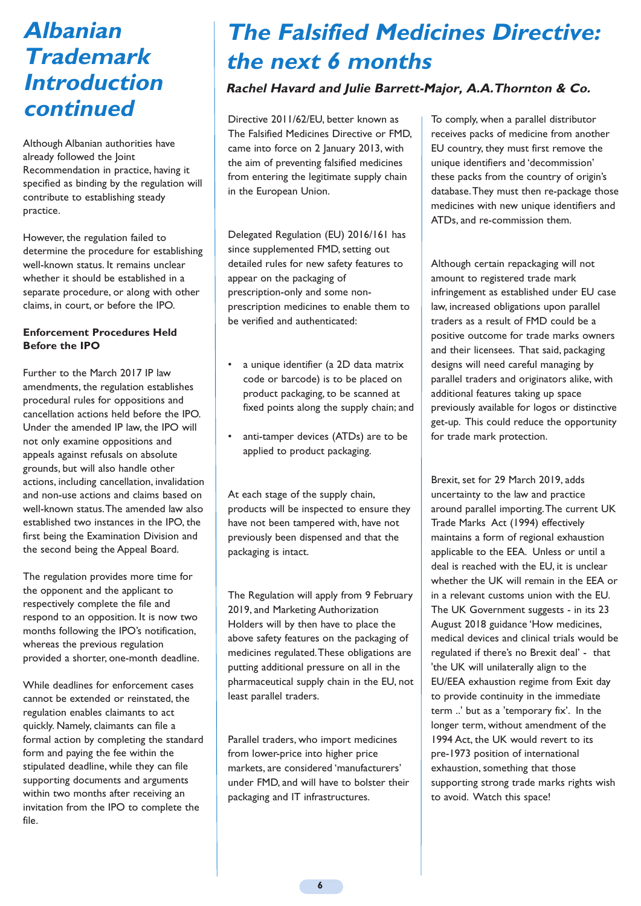# **Albanian Trademark Introduction continued**

Although Albanian authorities have already followed the Joint Recommendation in practice, having it specified as binding by the regulation will contribute to establishing steady practice.

However, the regulation failed to determine the procedure for establishing well-known status. It remains unclear whether it should be established in a separate procedure, or along with other claims, in court, or before the IPO.

#### **Enforcement Procedures Held Before the IPO**

Further to the March 2017 IP law amendments, the regulation establishes procedural rules for oppositions and cancellation actions held before the IPO. Under the amended IP law, the IPO will not only examine oppositions and appeals against refusals on absolute grounds, but will also handle other actions, including cancellation, invalidation and non-use actions and claims based on well-known status. The amended law also established two instances in the IPO, the first being the Examination Division and the second being the Appeal Board.

The regulation provides more time for the opponent and the applicant to respectively complete the file and respond to an opposition. It is now two months following the IPO's notification, whereas the previous regulation provided a shorter, one-month deadline.

While deadlines for enforcement cases cannot be extended or reinstated, the regulation enables claimants to act quickly. Namely, claimants can file a formal action by completing the standard form and paying the fee within the stipulated deadline, while they can file supporting documents and arguments within two months after receiving an invitation from the IPO to complete the file.

# **The Falsified Medicines Directive: the next 6 months**

# **Rachel Havard and Julie Barrett-Major, A.A.Thornton & Co.**

Directive 2011/62/EU, better known as The Falsified Medicines Directive or FMD, came into force on 2 January 2013, with the aim of preventing falsified medicines from entering the legitimate supply chain in the European Union.

Delegated Regulation (EU) 2016/161 has since supplemented FMD, setting out detailed rules for new safety features to appear on the packaging of prescription-only and some nonprescription medicines to enable them to be verified and authenticated:

- a unique identifier (a 2D data matrix code or barcode) is to be placed on product packaging, to be scanned at fixed points along the supply chain; and
- anti-tamper devices (ATDs) are to be applied to product packaging.

At each stage of the supply chain, products will be inspected to ensure they have not been tampered with, have not previously been dispensed and that the packaging is intact.

The Regulation will apply from 9 February 2019, and Marketing Authorization Holders will by then have to place the above safety features on the packaging of medicines regulated. These obligations are putting additional pressure on all in the pharmaceutical supply chain in the EU, not least parallel traders.

Parallel traders, who import medicines from lower-price into higher price markets, are considered 'manufacturers' under FMD, and will have to bolster their packaging and IT infrastructures.

To comply, when a parallel distributor receives packs of medicine from another EU country, they must first remove the unique identifiers and 'decommission' these packs from the country of origin's database. They must then re-package those medicines with new unique identifiers and ATDs, and re-commission them.

Although certain repackaging will not amount to registered trade mark infringement as established under EU case law, increased obligations upon parallel traders as a result of FMD could be a positive outcome for trade marks owners and their licensees. That said, packaging designs will need careful managing by parallel traders and originators alike, with additional features taking up space previously available for logos or distinctive get-up. This could reduce the opportunity for trade mark protection.

Brexit, set for 29 March 2019, adds uncertainty to the law and practice around parallel importing. The current UK Trade Marks Act (1994) effectively maintains a form of regional exhaustion applicable to the EEA. Unless or until a deal is reached with the EU, it is unclear whether the UK will remain in the EEA or in a relevant customs union with the EU. The UK Government suggests - in its 23 August 2018 guidance 'How medicines, medical devices and clinical trials would be regulated if there's no Brexit deal' - that 'the UK will unilaterally align to the EU/EEA exhaustion regime from Exit day to provide continuity in the immediate term ..' but as a 'temporary fix'. In the longer term, without amendment of the 1994 Act, the UK would revert to its pre-1973 position of international exhaustion, something that those supporting strong trade marks rights wish to avoid. Watch this space!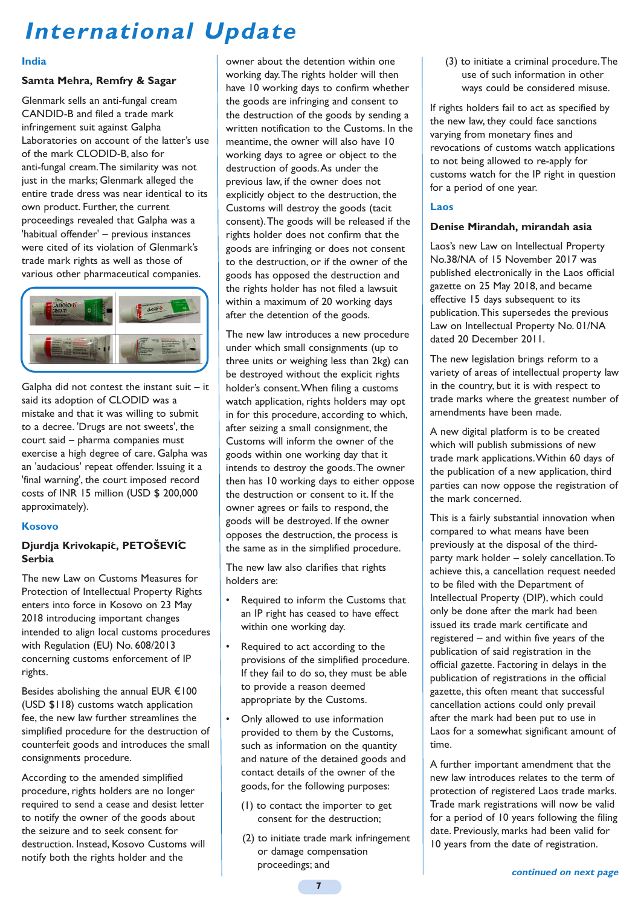# **International Update**

#### **India**

# **Samta Mehra, Remfry & Sagar**

Glenmark sells an anti-fungal cream CANDID-B and filed a trade mark infringement suit against Galpha Laboratories on account of the latter's use of the mark CLODID-B, also for anti-fungal cream. The similarity was not just in the marks; Glenmark alleged the entire trade dress was near identical to its own product. Further, the current proceedings revealed that Galpha was a 'habitual offender' – previous instances were cited of its violation of Glenmark's trade mark rights as well as those of various other pharmaceutical companies. idi K Fights as well as those of k rights as well as tho<br>her pharmaceutical co



Galpha did not contest the instant suit – it said its adoption of CLODID was a mistake and that it was willing to submit to a decree. 'Drugs are not sweets', the court said – pharma companies must exercise a high degree of care. Galpha was an 'audacious' repeat offender. Issuing it a 'final warning', the court imposed record costs of INR 15 million (USD \$ 200,000 approximately). rane and chac to that willing co subtine the contract of the contract of the contract of the contract of the contract of the contract of the contract of Example 5<br>
Example 5<br>
a did not contest the instant suits adoption of CLODID was a<br>
ke and that it was willing to subnecree. 'Drugs are not sweets', the<br>
said – pharma companies must<br>
sie a high degree of care. Galpha<br>
dac it was willing to submit contract the contract of the contract of the contract of the contract of

### **Kosovo**

### **Djurdja Krivokapic, PETOŠEVIC ´ ´Serbia**

The new Law on Customs Measures for Protection of Intellectual Property Rights enters into force in Kosovo on 23 May 2018 introducing important changes intended to align local customs procedures with Regulation (EU) No. 608/2013 concerning customs enforcement of IP rights.

Besides abolishing the annual EUR €100 (USD \$118) customs watch application fee, the new law further streamlines the simplified procedure for the destruction of counterfeit goods and introduces the small consignments procedure.

According to the amended simplified procedure, rights holders are no longer required to send a cease and desist letter to notify the owner of the goods about the seizure and to seek consent for destruction. Instead, Kosovo Customs will notify both the rights holder and the

owner about the detention within one working day. The rights holder will then have 10 working days to confirm whether the goods are infringing and consent to the destruction of the goods by sending a written notification to the Customs. In the meantime, the owner will also have 10 working days to agree or object to the destruction of goods. As under the previous law, if the owner does not explicitly object to the destruction, the Customs will destroy the goods (tacit consent). The goods will be released if the rights holder does not confirm that the goods are infringing or does not consent to the destruction, or if the owner of the goods has opposed the destruction and the rights holder has not filed a lawsuit within a maximum of 20 working days after the detention of the goods.

The new law introduces a new procedure under which small consignments (up to three units or weighing less than 2kg) can be destroyed without the explicit rights holder's consent. When filing a customs watch application, rights holders may opt in for this procedure, according to which, after seizing a small consignment, the Customs will inform the owner of the goods within one working day that it intends to destroy the goods. The owner then has 10 working days to either oppose the destruction or consent to it. If the owner agrees or fails to respond, the goods will be destroyed. If the owner opposes the destruction, the process is the same as in the simplified procedure.

The new law also clarifies that rights holders are:

- Required to inform the Customs that an IP right has ceased to have effect within one working day.
- Required to act according to the provisions of the simplified procedure. If they fail to do so, they must be able to provide a reason deemed appropriate by the Customs.
- Only allowed to use information provided to them by the Customs, such as information on the quantity and nature of the detained goods and contact details of the owner of the goods, for the following purposes:
	- (1) to contact the importer to get consent for the destruction;
	- (2) to initiate trade mark infringement or damage compensation proceedings; and

(3) to initiate a criminal procedure. The use of such information in other ways could be considered misuse.

If rights holders fail to act as specified by the new law, they could face sanctions varying from monetary fines and revocations of customs watch applications to not being allowed to re-apply for customs watch for the IP right in question for a period of one year.

# **Laos**

### **Denise Mirandah, mirandah asia**

Laos's new Law on Intellectual Property No.38/NA of 15 November 2017 was published electronically in the Laos official gazette on 25 May 2018, and became effective 15 days subsequent to its publication. This supersedes the previous Law on Intellectual Property No. 01/NA dated 20 December 2011.

The new legislation brings reform to a variety of areas of intellectual property law in the country, but it is with respect to trade marks where the greatest number of amendments have been made.

A new digital platform is to be created which will publish submissions of new trade mark applications. Within 60 days of the publication of a new application, third parties can now oppose the registration of the mark concerned.

This is a fairly substantial innovation when compared to what means have been previously at the disposal of the thirdparty mark holder – solely cancellation. To achieve this, a cancellation request needed to be filed with the Department of Intellectual Property (DIP), which could only be done after the mark had been issued its trade mark certificate and registered – and within five years of the publication of said registration in the official gazette. Factoring in delays in the publication of registrations in the official gazette, this often meant that successful cancellation actions could only prevail after the mark had been put to use in Laos for a somewhat significant amount of time.

A further important amendment that the new law introduces relates to the term of protection of registered Laos trade marks. Trade mark registrations will now be valid for a period of 10 years following the filing date. Previously, marks had been valid for 10 years from the date of registration.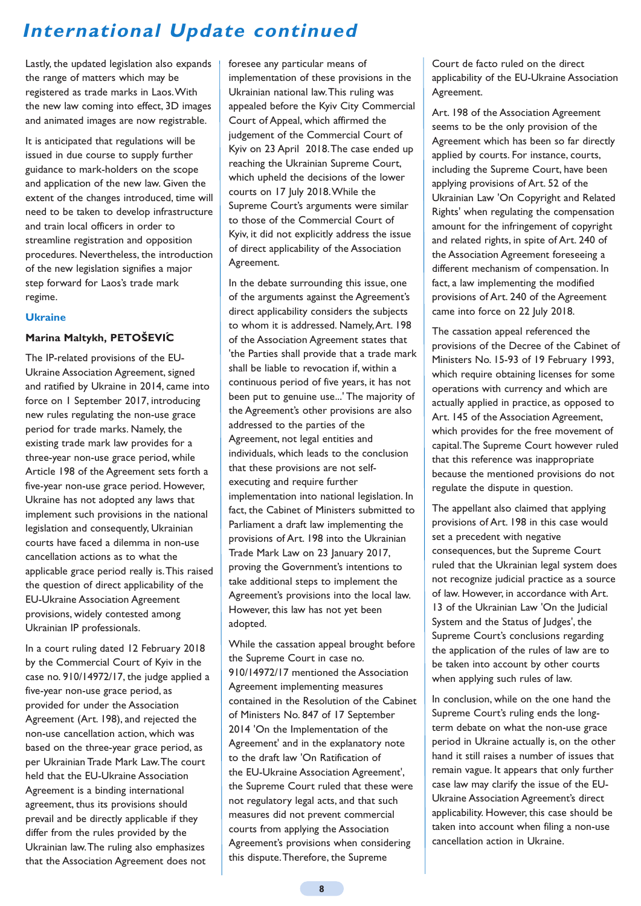# **International Update continued**

Lastly, the updated legislation also expands the range of matters which may be registered as trade marks in Laos. With the new law coming into effect, 3D images and animated images are now registrable.

It is anticipated that regulations will be issued in due course to supply further guidance to mark-holders on the scope and application of the new law. Given the extent of the changes introduced, time will need to be taken to develop infrastructure and train local officers in order to streamline registration and opposition procedures. Nevertheless, the introduction of the new legislation signifies a major step forward for Laos's trade mark regime.

#### **Ukraine**

#### **Marina Maltykh, PETOŠEVIC ´**

The IP-related provisions of the EU-Ukraine Association Agreement, signed and ratified by Ukraine in 2014, came into force on 1 September 2017, introducing new rules regulating the non-use grace period for trade marks. Namely, the existing trade mark law provides for a three-year non-use grace period, while Article 198 of the Agreement sets forth a five-year non-use grace period. However, Ukraine has not adopted any laws that implement such provisions in the national legislation and consequently, Ukrainian courts have faced a dilemma in non-use cancellation actions as to what the applicable grace period really is. This raised the question of direct applicability of the EU-Ukraine Association Agreement provisions, widely contested among Ukrainian IP professionals.

In a court ruling dated 12 February 2018 by the Commercial Court of Kyiv in the case no. 910/14972/17, the judge applied a five-year non-use grace period, as provided for under the Association Agreement (Art. 198), and rejected the non-use cancellation action, which was based on the three-year grace period, as per Ukrainian Trade Mark Law. The court held that the EU-Ukraine Association Agreement is a binding international agreement, thus its provisions should prevail and be directly applicable if they differ from the rules provided by the Ukrainian law. The ruling also emphasizes that the Association Agreement does not

foresee any particular means of implementation of these provisions in the Ukrainian national law. This ruling was appealed before the Kyiv City Commercial Court of Appeal, which affirmed the judgement of the Commercial Court of Kyiv on 23 April 2018. The case ended up reaching the Ukrainian Supreme Court, which upheld the decisions of the lower courts on 17 July 2018. While the Supreme Court's arguments were similar to those of the Commercial Court of Kyiv, it did not explicitly address the issue of direct applicability of the Association Agreement.

In the debate surrounding this issue, one of the arguments against the Agreement's direct applicability considers the subjects to whom it is addressed. Namely, Art. 198 of the Association Agreement states that 'the Parties shall provide that a trade mark shall be liable to revocation if, within a continuous period of five years, it has not been put to genuine use...' The majority of the Agreement's other provisions are also addressed to the parties of the Agreement, not legal entities and individuals, which leads to the conclusion that these provisions are not selfexecuting and require further implementation into national legislation. In fact, the Cabinet of Ministers submitted to Parliament a draft law implementing the provisions of Art. 198 into the Ukrainian Trade Mark Law on 23 January 2017, proving the Government's intentions to take additional steps to implement the Agreement's provisions into the local law. However, this law has not yet been adopted.

While the cassation appeal brought before the Supreme Court in case no. 910/14972/17 mentioned the Association Agreement implementing measures contained in the Resolution of the Cabinet of Ministers No. 847 of 17 September 2014 'On the Implementation of the Agreement' and in the explanatory note to the draft law 'On Ratification of the EU-Ukraine Association Agreement', the Supreme Court ruled that these were not regulatory legal acts, and that such measures did not prevent commercial courts from applying the Association Agreement's provisions when considering this dispute. Therefore, the Supreme

Court de facto ruled on the direct applicability of the EU-Ukraine Association Agreement.

Art. 198 of the Association Agreement seems to be the only provision of the Agreement which has been so far directly applied by courts. For instance, courts, including the Supreme Court, have been applying provisions of Art. 52 of the Ukrainian Law 'On Copyright and Related Rights' when regulating the compensation amount for the infringement of copyright and related rights, in spite of Art. 240 of the Association Agreement foreseeing a different mechanism of compensation. In fact, a law implementing the modified provisions of Art. 240 of the Agreement came into force on 22 July 2018.

The cassation appeal referenced the provisions of the Decree of the Cabinet of Ministers No. 15-93 of 19 February 1993, which require obtaining licenses for some operations with currency and which are actually applied in practice, as opposed to Art. 145 of the Association Agreement, which provides for the free movement of capital. The Supreme Court however ruled that this reference was inappropriate because the mentioned provisions do not regulate the dispute in question.

The appellant also claimed that applying provisions of Art. 198 in this case would set a precedent with negative consequences, but the Supreme Court ruled that the Ukrainian legal system does not recognize judicial practice as a source of law. However, in accordance with Art. 13 of the Ukrainian Law 'On the Iudicial System and the Status of Judges', the Supreme Court's conclusions regarding the application of the rules of law are to be taken into account by other courts when applying such rules of law.

In conclusion, while on the one hand the Supreme Court's ruling ends the longterm debate on what the non-use grace period in Ukraine actually is, on the other hand it still raises a number of issues that remain vague. It appears that only further case law may clarify the issue of the EU-Ukraine Association Agreement's direct applicability. However, this case should be taken into account when filing a non-use cancellation action in Ukraine.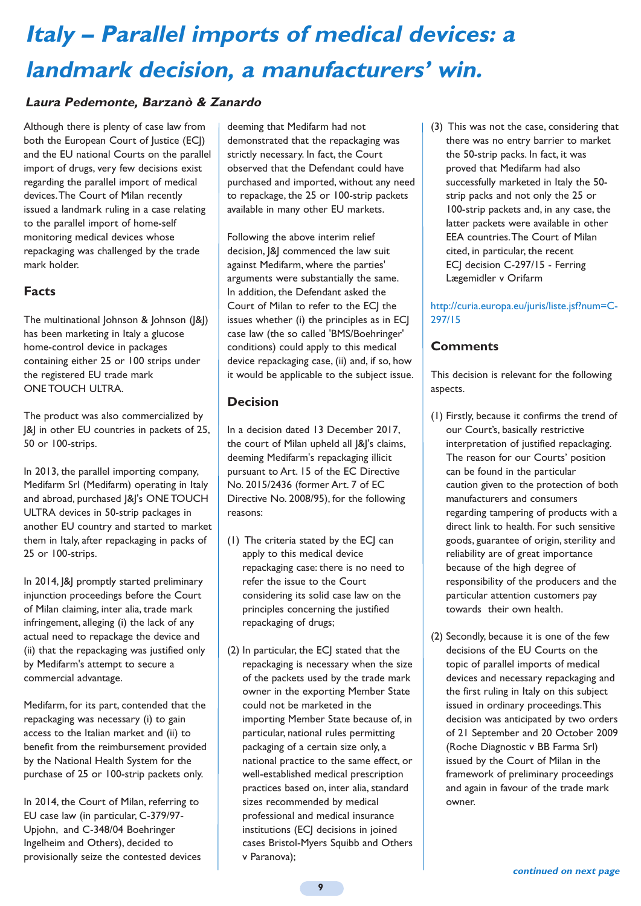# **Italy – Parallel imports of medical devices: a landmark decision, a manufacturers' win.**

# **Laura Pedemonte, Barzanò & Zanardo**

Although there is plenty of case law from both the European Court of Justice (ECJ) and the EU national Courts on the parallel import of drugs, very few decisions exist regarding the parallel import of medical devices. The Court of Milan recently issued a landmark ruling in a case relating to the parallel import of home-self monitoring medical devices whose repackaging was challenged by the trade mark holder.

# **Facts**

The multinational Johnson & Johnson (|&|) has been marketing in Italy a glucose home-control device in packages containing either 25 or 100 strips under the registered EU trade mark ONE TOUCH ULTRA.

The product was also commercialized by |&| in other EU countries in packets of 25, 50 or 100-strips.

In 2013, the parallel importing company, Medifarm Srl (Medifarm) operating in Italy and abroad, purchased J&J's ONE TOUCH ULTRA devices in 50-strip packages in another EU country and started to market them in Italy, after repackaging in packs of 25 or 100-strips.

In 2014,  $|&$  promptly started preliminary injunction proceedings before the Court of Milan claiming, inter alia, trade mark infringement, alleging (i) the lack of any actual need to repackage the device and (ii) that the repackaging was justified only by Medifarm's attempt to secure a commercial advantage.

Medifarm, for its part, contended that the repackaging was necessary (i) to gain access to the Italian market and (ii) to benefit from the reimbursement provided by the National Health System for the purchase of 25 or 100-strip packets only.

In 2014, the Court of Milan, referring to EU case law (in particular, C-379/97- Upjohn, and C-348/04 Boehringer Ingelheim and Others), decided to provisionally seize the contested devices

deeming that Medifarm had not demonstrated that the repackaging was strictly necessary. In fact, the Court observed that the Defendant could have purchased and imported, without any need to repackage, the 25 or 100-strip packets available in many other EU markets.

Following the above interim relief decision,  $|&$  commenced the law suit against Medifarm, where the parties' arguments were substantially the same. In addition, the Defendant asked the Court of Milan to refer to the ECJ the issues whether (i) the principles as in ECJ case law (the so called 'BMS/Boehringer' conditions) could apply to this medical device repackaging case, (ii) and, if so, how it would be applicable to the subject issue.

### **Decision**

In a decision dated 13 December 2017, the court of Milan upheld all J&J's claims, deeming Medifarm's repackaging illicit pursuant to Art. 15 of the EC Directive No. 2015/2436 (former Art. 7 of EC Directive No. 2008/95), for the following reasons:

- (1) The criteria stated by the ECJ can apply to this medical device repackaging case: there is no need to refer the issue to the Court considering its solid case law on the principles concerning the justified repackaging of drugs;
- (2) In particular, the ECJ stated that the repackaging is necessary when the size of the packets used by the trade mark owner in the exporting Member State could not be marketed in the importing Member State because of, in particular, national rules permitting packaging of a certain size only, a national practice to the same effect, or well-established medical prescription practices based on, inter alia, standard sizes recommended by medical professional and medical insurance institutions (ECJ decisions in joined cases Bristol-Myers Squibb and Others v Paranova);

(3) This was not the case, considering that there was no entry barrier to market the 50-strip packs. In fact, it was proved that Medifarm had also successfully marketed in Italy the 50 strip packs and not only the 25 or 100-strip packets and, in any case, the latter packets were available in other EEA countries. The Court of Milan cited, in particular, the recent ECJ decision C-297/15 - Ferring Lægemidler v Orifarm

#### http://curia.europa.eu/juris/liste.jsf?num=C-297/15

# **Comments**

This decision is relevant for the following aspects.

- (1) Firstly, because it confirms the trend of our Court's, basically restrictive interpretation of justified repackaging. The reason for our Courts' position can be found in the particular caution given to the protection of both manufacturers and consumers regarding tampering of products with a direct link to health. For such sensitive goods, guarantee of origin, sterility and reliability are of great importance because of the high degree of responsibility of the producers and the particular attention customers pay towards their own health.
- (2) Secondly, because it is one of the few decisions of the EU Courts on the topic of parallel imports of medical devices and necessary repackaging and the first ruling in Italy on this subject issued in ordinary proceedings. This decision was anticipated by two orders of 21 September and 20 October 2009 (Roche Diagnostic v BB Farma Srl) issued by the Court of Milan in the framework of preliminary proceedings and again in favour of the trade mark owner.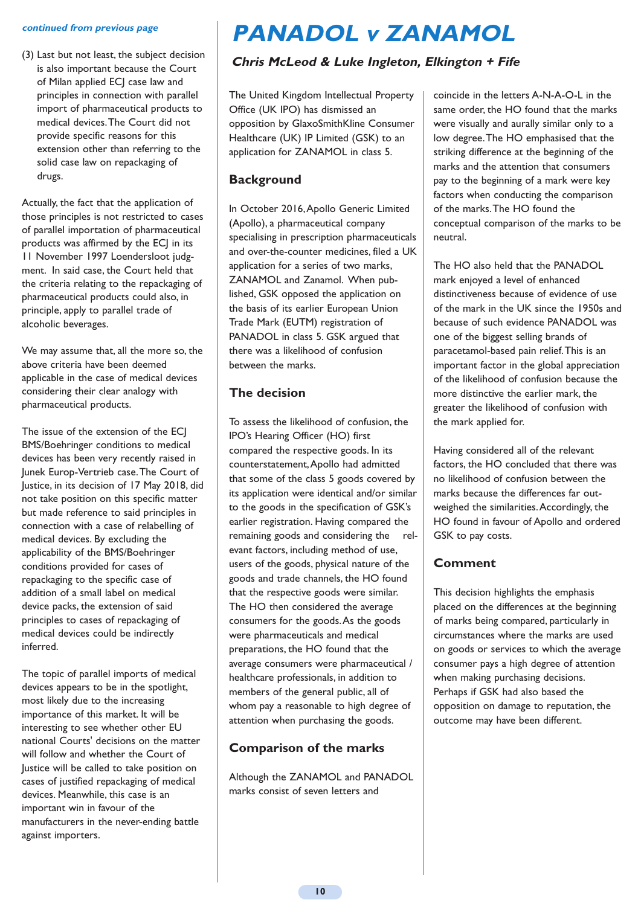#### **continued from previous page**

(3) Last but not least, the subject decision is also important because the Court of Milan applied ECJ case law and principles in connection with parallel import of pharmaceutical products to medical devices. The Court did not provide specific reasons for this extension other than referring to the solid case law on repackaging of drugs.

Actually, the fact that the application of those principles is not restricted to cases of parallel importation of pharmaceutical products was affirmed by the ECJ in its 11 November 1997 Loendersloot judgment. In said case, the Court held that the criteria relating to the repackaging of pharmaceutical products could also, in principle, apply to parallel trade of alcoholic beverages.

We may assume that, all the more so, the above criteria have been deemed applicable in the case of medical devices considering their clear analogy with pharmaceutical products.

The issue of the extension of the ECI BMS/Boehringer conditions to medical devices has been very recently raised in Junek Europ-Vertrieb case. The Court of Justice, in its decision of 17 May 2018, did not take position on this specific matter but made reference to said principles in connection with a case of relabelling of medical devices. By excluding the applicability of the BMS/Boehringer conditions provided for cases of repackaging to the specific case of addition of a small label on medical device packs, the extension of said principles to cases of repackaging of medical devices could be indirectly inferred.

The topic of parallel imports of medical devices appears to be in the spotlight, most likely due to the increasing importance of this market. It will be interesting to see whether other EU national Courts' decisions on the matter will follow and whether the Court of Justice will be called to take position on cases of justified repackaging of medical devices. Meanwhile, this case is an important win in favour of the manufacturers in the never-ending battle against importers.

# **PANADOL v ZANAMOL**

# **Chris McLeod & Luke Ingleton, Elkington + Fife**

The United Kingdom Intellectual Property Office (UK IPO) has dismissed an opposition by GlaxoSmithKline Consumer Healthcare (UK) IP Limited (GSK) to an application for ZANAMOL in class 5.

# **Background**

In October 2016, Apollo Generic Limited (Apollo), a pharmaceutical company specialising in prescription pharmaceuticals and over-the-counter medicines, filed a UK application for a series of two marks, ZANAMOL and Zanamol. When published, GSK opposed the application on the basis of its earlier European Union Trade Mark (EUTM) registration of PANADOL in class 5. GSK argued that there was a likelihood of confusion between the marks.

# **The decision**

To assess the likelihood of confusion, the IPO's Hearing Officer (HO) first compared the respective goods. In its counterstatement, Apollo had admitted that some of the class 5 goods covered by its application were identical and/or similar to the goods in the specification of GSK's earlier registration. Having compared the remaining goods and considering the relevant factors, including method of use, users of the goods, physical nature of the goods and trade channels, the HO found that the respective goods were similar. The HO then considered the average consumers for the goods. As the goods were pharmaceuticals and medical preparations, the HO found that the average consumers were pharmaceutical / healthcare professionals, in addition to members of the general public, all of whom pay a reasonable to high degree of attention when purchasing the goods.

# **Comparison of the marks**

Although the ZANAMOL and PANADOL marks consist of seven letters and

coincide in the letters A-N-A-O-L in the same order, the HO found that the marks were visually and aurally similar only to a low degree. The HO emphasised that the striking difference at the beginning of the marks and the attention that consumers pay to the beginning of a mark were key factors when conducting the comparison of the marks. The HO found the conceptual comparison of the marks to be neutral.

The HO also held that the PANADOL mark enjoyed a level of enhanced distinctiveness because of evidence of use of the mark in the UK since the 1950s and because of such evidence PANADOL was one of the biggest selling brands of paracetamol-based pain relief. This is an important factor in the global appreciation of the likelihood of confusion because the more distinctive the earlier mark, the greater the likelihood of confusion with the mark applied for.

Having considered all of the relevant factors, the HO concluded that there was no likelihood of confusion between the marks because the differences far outweighed the similarities. Accordingly, the HO found in favour of Apollo and ordered GSK to pay costs.

# **Comment**

This decision highlights the emphasis placed on the differences at the beginning of marks being compared, particularly in circumstances where the marks are used on goods or services to which the average consumer pays a high degree of attention when making purchasing decisions. Perhaps if GSK had also based the opposition on damage to reputation, the outcome may have been different.